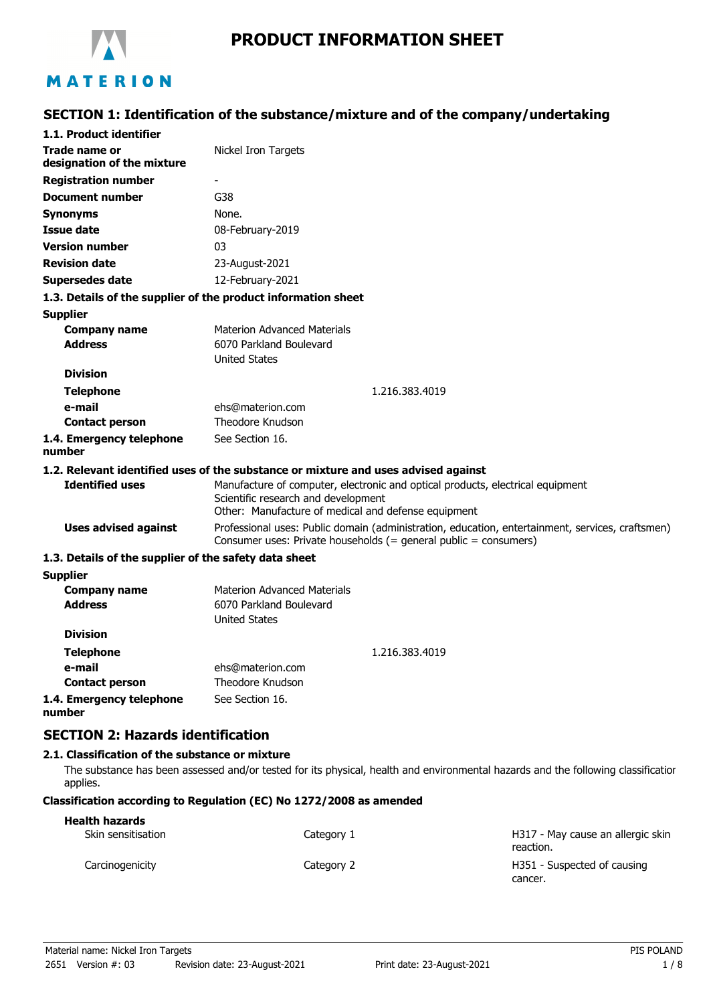

# MATERION

# **SECTION 1: Identification of the substance/mixture and of the company/undertaking**

| 1.1. Product identifier                                       |                                                                                                                                                                              |
|---------------------------------------------------------------|------------------------------------------------------------------------------------------------------------------------------------------------------------------------------|
| Trade name or<br>designation of the mixture                   | Nickel Iron Targets                                                                                                                                                          |
| <b>Registration number</b>                                    |                                                                                                                                                                              |
| <b>Document number</b>                                        | G38                                                                                                                                                                          |
| <b>Synonyms</b>                                               | None.                                                                                                                                                                        |
| <b>Issue date</b>                                             | 08-February-2019                                                                                                                                                             |
| <b>Version number</b>                                         | 03                                                                                                                                                                           |
| <b>Revision date</b>                                          | 23-August-2021                                                                                                                                                               |
| <b>Supersedes date</b>                                        | 12-February-2021                                                                                                                                                             |
| 1.3. Details of the supplier of the product information sheet |                                                                                                                                                                              |
| <b>Supplier</b>                                               |                                                                                                                                                                              |
| <b>Company name</b>                                           | <b>Materion Advanced Materials</b>                                                                                                                                           |
| <b>Address</b>                                                | 6070 Parkland Boulevard                                                                                                                                                      |
| <b>Division</b>                                               | <b>United States</b>                                                                                                                                                         |
|                                                               |                                                                                                                                                                              |
| <b>Telephone</b>                                              | 1.216.383.4019                                                                                                                                                               |
| e-mail<br><b>Contact person</b>                               | ehs@materion.com<br>Theodore Knudson                                                                                                                                         |
| 1.4. Emergency telephone                                      | See Section 16.                                                                                                                                                              |
| number                                                        |                                                                                                                                                                              |
|                                                               | 1.2. Relevant identified uses of the substance or mixture and uses advised against                                                                                           |
| <b>Identified uses</b>                                        | Manufacture of computer, electronic and optical products, electrical equipment<br>Scientific research and development<br>Other: Manufacture of medical and defense equipment |
| <b>Uses advised against</b>                                   | Professional uses: Public domain (administration, education, entertainment, services, craftsmen)<br>Consumer uses: Private households (= general public = consumers)         |
| 1.3. Details of the supplier of the safety data sheet         |                                                                                                                                                                              |
| <b>Supplier</b>                                               |                                                                                                                                                                              |
| <b>Company name</b>                                           | <b>Materion Advanced Materials</b>                                                                                                                                           |
| <b>Address</b>                                                | 6070 Parkland Boulevard                                                                                                                                                      |
| <b>Division</b>                                               | <b>United States</b>                                                                                                                                                         |
|                                                               |                                                                                                                                                                              |
| <b>Telephone</b>                                              | 1.216.383.4019                                                                                                                                                               |
| e-mail<br><b>Contact person</b>                               | ehs@materion.com<br><b>Theodore Knudson</b>                                                                                                                                  |
|                                                               |                                                                                                                                                                              |
| 1.4. Emergency telephone                                      | See Section 16.                                                                                                                                                              |

**number**

**SECTION 2: Hazards identification**

#### **2.1. Classification of the substance or mixture**

The substance has been assessed and/or tested for its physical, health and environmental hazards and the following classification applies.

#### **Classification according to Regulation (EC) No 1272/2008 as amended**

| <b>Health hazards</b> |            |                                                |
|-----------------------|------------|------------------------------------------------|
| Skin sensitisation    | Category 1 | H317 - May cause an allergic skin<br>reaction. |
| Carcinogenicity       | Category 2 | H351 - Suspected of causing<br>cancer.         |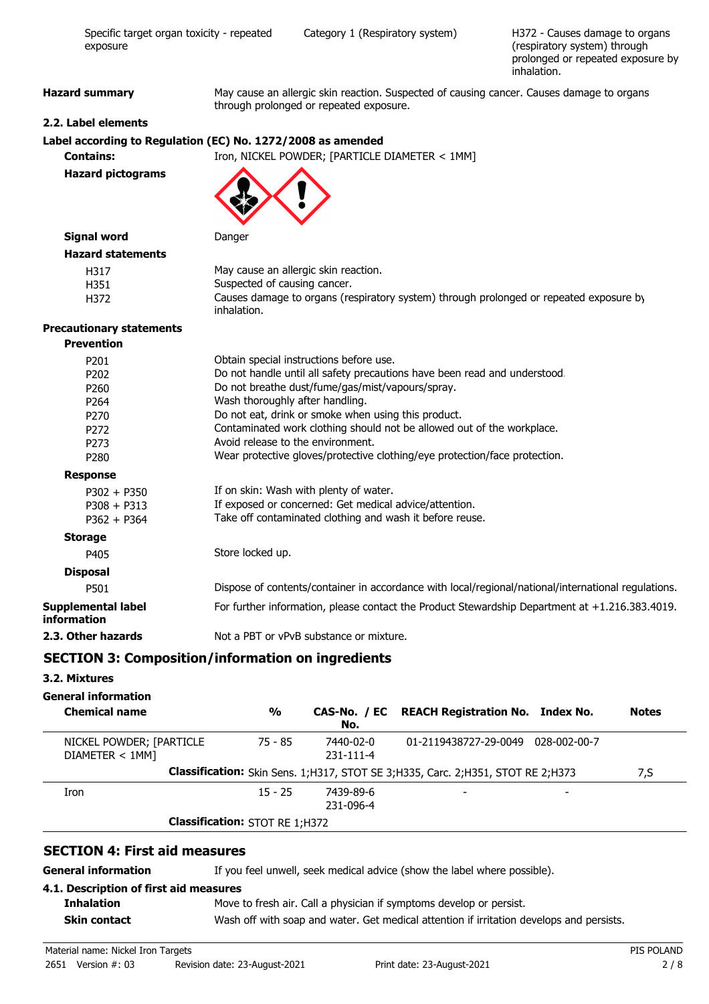| Specific target organ toxicity - repeated<br>exposure        |                                             | Category 1 (Respiratory system)                                                                                                                                                                                                                                                                                                                                                                                                                                 | H372 - Causes damage to organs<br>(respiratory system) through<br>prolonged or repeated exposure by<br>inhalation. |
|--------------------------------------------------------------|---------------------------------------------|-----------------------------------------------------------------------------------------------------------------------------------------------------------------------------------------------------------------------------------------------------------------------------------------------------------------------------------------------------------------------------------------------------------------------------------------------------------------|--------------------------------------------------------------------------------------------------------------------|
| <b>Hazard summary</b>                                        |                                             | May cause an allergic skin reaction. Suspected of causing cancer. Causes damage to organs<br>through prolonged or repeated exposure.                                                                                                                                                                                                                                                                                                                            |                                                                                                                    |
| 2.2. Label elements                                          |                                             |                                                                                                                                                                                                                                                                                                                                                                                                                                                                 |                                                                                                                    |
| Label according to Regulation (EC) No. 1272/2008 as amended  |                                             |                                                                                                                                                                                                                                                                                                                                                                                                                                                                 |                                                                                                                    |
| <b>Contains:</b>                                             |                                             | Iron, NICKEL POWDER; [PARTICLE DIAMETER < 1MM]                                                                                                                                                                                                                                                                                                                                                                                                                  |                                                                                                                    |
| <b>Hazard pictograms</b>                                     |                                             |                                                                                                                                                                                                                                                                                                                                                                                                                                                                 |                                                                                                                    |
| <b>Signal word</b>                                           | Danger                                      |                                                                                                                                                                                                                                                                                                                                                                                                                                                                 |                                                                                                                    |
| <b>Hazard statements</b>                                     |                                             |                                                                                                                                                                                                                                                                                                                                                                                                                                                                 |                                                                                                                    |
| H317<br>H351<br>H372                                         | Suspected of causing cancer.<br>inhalation. | May cause an allergic skin reaction.<br>Causes damage to organs (respiratory system) through prolonged or repeated exposure by                                                                                                                                                                                                                                                                                                                                  |                                                                                                                    |
| <b>Precautionary statements</b>                              |                                             |                                                                                                                                                                                                                                                                                                                                                                                                                                                                 |                                                                                                                    |
| <b>Prevention</b>                                            |                                             |                                                                                                                                                                                                                                                                                                                                                                                                                                                                 |                                                                                                                    |
| P201<br>P202<br>P260<br>P264<br>P270<br>P272<br>P273<br>P280 |                                             | Obtain special instructions before use.<br>Do not handle until all safety precautions have been read and understood.<br>Do not breathe dust/fume/gas/mist/vapours/spray.<br>Wash thoroughly after handling.<br>Do not eat, drink or smoke when using this product.<br>Contaminated work clothing should not be allowed out of the workplace.<br>Avoid release to the environment.<br>Wear protective gloves/protective clothing/eye protection/face protection. |                                                                                                                    |
| <b>Response</b>                                              |                                             |                                                                                                                                                                                                                                                                                                                                                                                                                                                                 |                                                                                                                    |
| $P302 + P350$<br>$P308 + P313$<br>$P362 + P364$              |                                             | If on skin: Wash with plenty of water.<br>If exposed or concerned: Get medical advice/attention.<br>Take off contaminated clothing and wash it before reuse.                                                                                                                                                                                                                                                                                                    |                                                                                                                    |
| <b>Storage</b>                                               |                                             |                                                                                                                                                                                                                                                                                                                                                                                                                                                                 |                                                                                                                    |
| P405                                                         | Store locked up.                            |                                                                                                                                                                                                                                                                                                                                                                                                                                                                 |                                                                                                                    |
| <b>Disposal</b>                                              |                                             |                                                                                                                                                                                                                                                                                                                                                                                                                                                                 |                                                                                                                    |
| P501                                                         |                                             | Dispose of contents/container in accordance with local/regional/national/international regulations.                                                                                                                                                                                                                                                                                                                                                             |                                                                                                                    |
| Supplemental label<br>information                            |                                             | For further information, please contact the Product Stewardship Department at +1.216.383.4019.                                                                                                                                                                                                                                                                                                                                                                  |                                                                                                                    |
| 2.3. Other hazards                                           |                                             | Not a PBT or vPvB substance or mixture.                                                                                                                                                                                                                                                                                                                                                                                                                         |                                                                                                                    |
|                                                              |                                             |                                                                                                                                                                                                                                                                                                                                                                                                                                                                 |                                                                                                                    |

# **SECTION 3: Composition/information on ingredients**

## **3.2. Mixtures**

## **General information**

| <b>Chemical name</b>                        | $\frac{0}{0}$                         | No.                          | CAS-No. / EC REACH Registration No. Index No.                                       | <b>Notes</b> |
|---------------------------------------------|---------------------------------------|------------------------------|-------------------------------------------------------------------------------------|--------------|
| NICKEL POWDER; [PARTICLE<br>DIAMETER < 1MM] | 75 - 85                               | 7440-02-0<br>$231 - 111 - 4$ | 01-2119438727-29-0049 028-002-00-7                                                  |              |
|                                             |                                       |                              | Classification: Skin Sens. 1; H317, STOT SE 3; H335, Carc. 2; H351, STOT RE 2; H373 | 7,S          |
| Iron                                        | $15 - 25$                             | 7439-89-6<br>231-096-4       |                                                                                     |              |
|                                             | <b>Classification: STOT RE 1;H372</b> |                              |                                                                                     |              |

#### **SECTION 4: First aid measures**

**General information** If you feel unwell, seek medical advice (show the label where possible).

# **4.1. Description of first aid measures**

**Inhalation** Move to fresh air. Call a physician if symptoms develop or persist.

**Skin contact** Wash off with soap and water. Get medical attention if irritation develops and persists.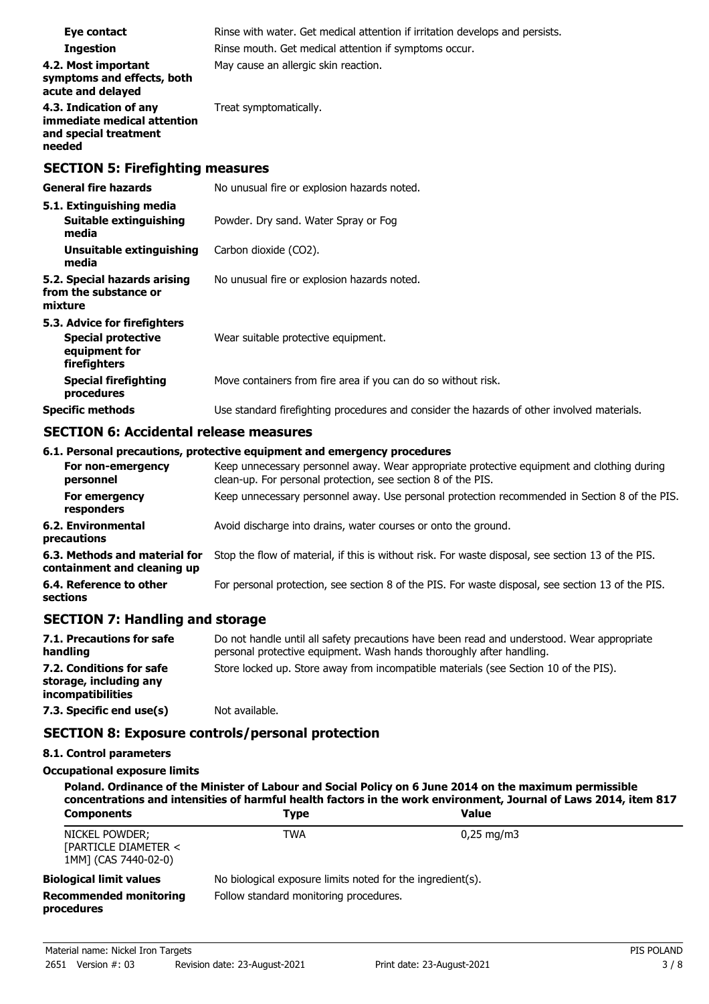| Eye contact<br><b>Ingestion</b><br>4.2. Most important                                     | Rinse with water. Get medical attention if irritation develops and persists.<br>Rinse mouth. Get medical attention if symptoms occur.<br>May cause an allergic skin reaction. |
|--------------------------------------------------------------------------------------------|-------------------------------------------------------------------------------------------------------------------------------------------------------------------------------|
| symptoms and effects, both<br>acute and delayed                                            |                                                                                                                                                                               |
| 4.3. Indication of any<br>immediate medical attention<br>and special treatment<br>needed   | Treat symptomatically.                                                                                                                                                        |
| <b>SECTION 5: Firefighting measures</b>                                                    |                                                                                                                                                                               |
| <b>General fire hazards</b>                                                                | No unusual fire or explosion hazards noted.                                                                                                                                   |
| 5.1. Extinguishing media<br>Suitable extinguishing<br>media                                | Powder. Dry sand. Water Spray or Fog                                                                                                                                          |
| <b>Unsuitable extinguishing</b><br>media                                                   | Carbon dioxide (CO2).                                                                                                                                                         |
| 5.2. Special hazards arising<br>from the substance or<br>mixture                           | No unusual fire or explosion hazards noted.                                                                                                                                   |
| 5.3. Advice for firefighters<br><b>Special protective</b><br>equipment for<br>firefighters | Wear suitable protective equipment.                                                                                                                                           |
| <b>Special firefighting</b><br>procedures                                                  | Move containers from fire area if you can do so without risk.                                                                                                                 |
| <b>Specific methods</b>                                                                    | Use standard firefighting procedures and consider the hazards of other involved materials.                                                                                    |

#### **SECTION 6: Accidental release measures**

#### **6.1. Personal precautions, protective equipment and emergency procedures**

| For non-emergency<br>personnel                               | Keep unnecessary personnel away. Wear appropriate protective equipment and clothing during<br>clean-up. For personal protection, see section 8 of the PIS. |
|--------------------------------------------------------------|------------------------------------------------------------------------------------------------------------------------------------------------------------|
| For emergency<br>responders                                  | Keep unnecessary personnel away. Use personal protection recommended in Section 8 of the PIS.                                                              |
| <b>6.2. Environmental</b><br>precautions                     | Avoid discharge into drains, water courses or onto the ground.                                                                                             |
| 6.3. Methods and material for<br>containment and cleaning up | Stop the flow of material, if this is without risk. For waste disposal, see section 13 of the PIS.                                                         |
| 6.4. Reference to other<br>sections                          | For personal protection, see section 8 of the PIS. For waste disposal, see section 13 of the PIS.                                                          |

#### **SECTION 7: Handling and storage**

| 7.1. Precautions for safe<br>handling                                          | Do not handle until all safety precautions have been read and understood. Wear appropriate<br>personal protective equipment. Wash hands thoroughly after handling. |
|--------------------------------------------------------------------------------|--------------------------------------------------------------------------------------------------------------------------------------------------------------------|
| 7.2. Conditions for safe<br>storage, including any<br><i>incompatibilities</i> | Store locked up. Store away from incompatible materials (see Section 10 of the PIS).                                                                               |
| 7.3. Specific end use(s)                                                       | Not available.                                                                                                                                                     |

#### **SECTION 8: Exposure controls/personal protection**

#### **8.1. Control parameters**

#### **Occupational exposure limits**

| Poland. Ordinance of the Minister of Labour and Social Policy on 6 June 2014 on the maximum permissible<br>concentrations and intensities of harmful health factors in the work environment, Journal of Laws 2014, item 817 |                                                            |                         |
|-----------------------------------------------------------------------------------------------------------------------------------------------------------------------------------------------------------------------------|------------------------------------------------------------|-------------------------|
| <b>Components</b>                                                                                                                                                                                                           | <b>Type</b>                                                | <b>Value</b>            |
| NICKEL POWDER;<br>[PARTICLE DIAMETER <<br>1MM] (CAS 7440-02-0)                                                                                                                                                              | TWA                                                        | $0.25 \,\mathrm{mq/m3}$ |
| <b>Biological limit values</b>                                                                                                                                                                                              | No biological exposure limits noted for the ingredient(s). |                         |
| <b>Recommended monitoring</b><br>procedures                                                                                                                                                                                 | Follow standard monitoring procedures.                     |                         |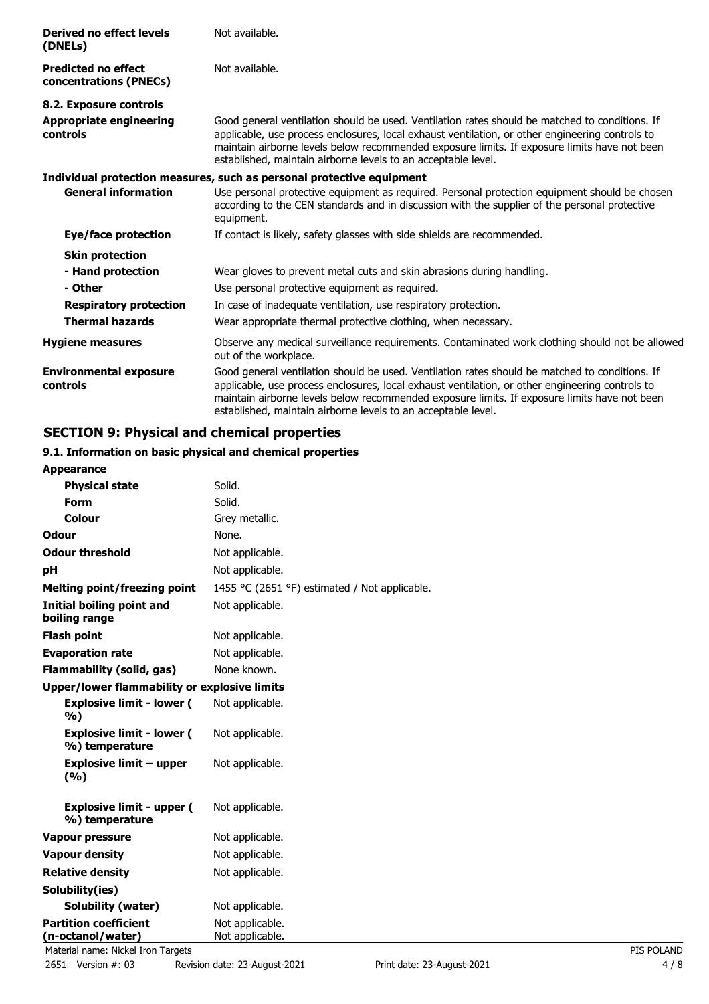| Derived no effect levels<br>(DNELs)                  | Not available.                                                                                                                                                                                                                                                                                                                                                     |
|------------------------------------------------------|--------------------------------------------------------------------------------------------------------------------------------------------------------------------------------------------------------------------------------------------------------------------------------------------------------------------------------------------------------------------|
| <b>Predicted no effect</b><br>concentrations (PNECs) | Not available.                                                                                                                                                                                                                                                                                                                                                     |
| 8.2. Exposure controls                               |                                                                                                                                                                                                                                                                                                                                                                    |
| Appropriate engineering<br>controls                  | Good general ventilation should be used. Ventilation rates should be matched to conditions. If<br>applicable, use process enclosures, local exhaust ventilation, or other engineering controls to<br>maintain airborne levels below recommended exposure limits. If exposure limits have not been<br>established, maintain airborne levels to an acceptable level. |
|                                                      | Individual protection measures, such as personal protective equipment                                                                                                                                                                                                                                                                                              |
| <b>General information</b>                           | Use personal protective equipment as required. Personal protection equipment should be chosen<br>according to the CEN standards and in discussion with the supplier of the personal protective<br>equipment.                                                                                                                                                       |
| <b>Eye/face protection</b>                           | If contact is likely, safety glasses with side shields are recommended.                                                                                                                                                                                                                                                                                            |
| <b>Skin protection</b>                               |                                                                                                                                                                                                                                                                                                                                                                    |
| - Hand protection                                    | Wear gloves to prevent metal cuts and skin abrasions during handling.                                                                                                                                                                                                                                                                                              |
| - Other                                              | Use personal protective equipment as required.                                                                                                                                                                                                                                                                                                                     |
| <b>Respiratory protection</b>                        | In case of inadequate ventilation, use respiratory protection.                                                                                                                                                                                                                                                                                                     |
| <b>Thermal hazards</b>                               | Wear appropriate thermal protective clothing, when necessary.                                                                                                                                                                                                                                                                                                      |
| <b>Hygiene measures</b>                              | Observe any medical surveillance requirements. Contaminated work clothing should not be allowed<br>out of the workplace.                                                                                                                                                                                                                                           |
| <b>Environmental exposure</b><br>controls            | Good general ventilation should be used. Ventilation rates should be matched to conditions. If<br>applicable, use process enclosures, local exhaust ventilation, or other engineering controls to<br>maintain airborne levels below recommended exposure limits. If exposure limits have not been<br>established, maintain airborne levels to an acceptable level. |

# **SECTION 9: Physical and chemical properties**

# **9.1. Information on basic physical and chemical properties**

| <b>Appearance</b>                                  |                                               |            |
|----------------------------------------------------|-----------------------------------------------|------------|
| <b>Physical state</b>                              | Solid.                                        |            |
| <b>Form</b>                                        | Solid.                                        |            |
| Colour                                             | Grey metallic.                                |            |
| <b>Odour</b>                                       | None.                                         |            |
| <b>Odour threshold</b>                             | Not applicable.                               |            |
| pH                                                 | Not applicable.                               |            |
| <b>Melting point/freezing point</b>                | 1455 °C (2651 °F) estimated / Not applicable. |            |
| <b>Initial boiling point and</b><br>boiling range  | Not applicable.                               |            |
| <b>Flash point</b>                                 | Not applicable.                               |            |
| <b>Evaporation rate</b>                            | Not applicable.                               |            |
| <b>Flammability (solid, gas)</b>                   | None known.                                   |            |
| Upper/lower flammability or explosive limits       |                                               |            |
| <b>Explosive limit - lower (</b><br>%)             | Not applicable.                               |            |
| <b>Explosive limit - lower (</b><br>%) temperature | Not applicable.                               |            |
| <b>Explosive limit - upper</b><br>(%)              | Not applicable.                               |            |
| <b>Explosive limit - upper (</b><br>%) temperature | Not applicable.                               |            |
| <b>Vapour pressure</b>                             | Not applicable.                               |            |
| <b>Vapour density</b>                              | Not applicable.                               |            |
| <b>Relative density</b>                            | Not applicable.                               |            |
| Solubility(ies)                                    |                                               |            |
| Solubility (water)                                 | Not applicable.                               |            |
| <b>Partition coefficient</b>                       | Not applicable.                               |            |
| (n-octanol/water)                                  | Not applicable.                               |            |
| Material name: Nickel Iron Targets                 |                                               | PIS POLAND |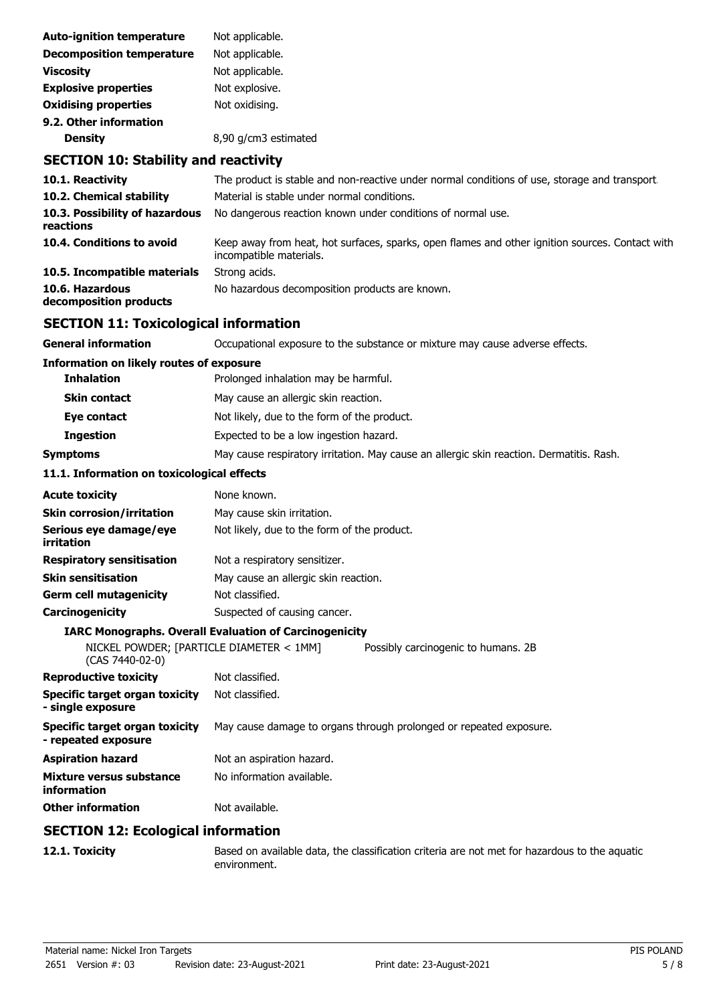| <b>Auto-ignition temperature</b> | Not applicable.      |
|----------------------------------|----------------------|
| <b>Decomposition temperature</b> | Not applicable.      |
| <b>Viscosity</b>                 | Not applicable.      |
| <b>Explosive properties</b>      | Not explosive.       |
| <b>Oxidising properties</b>      | Not oxidising.       |
| 9.2. Other information           |                      |
| <b>Density</b>                   | 8,90 g/cm3 estimated |

# **SECTION 10: Stability and reactivity**

| 10.1. Reactivity                            | The product is stable and non-reactive under normal conditions of use, storage and transport.                              |
|---------------------------------------------|----------------------------------------------------------------------------------------------------------------------------|
| 10.2. Chemical stability                    | Material is stable under normal conditions.                                                                                |
| 10.3. Possibility of hazardous<br>reactions | No dangerous reaction known under conditions of normal use.                                                                |
| 10.4. Conditions to avoid                   | Keep away from heat, hot surfaces, sparks, open flames and other ignition sources. Contact with<br>incompatible materials. |
| 10.5. Incompatible materials                | Strong acids.                                                                                                              |
| 10.6. Hazardous<br>decomposition products   | No hazardous decomposition products are known.                                                                             |

## **SECTION 11: Toxicological information**

| General information                                         | Occupational exposure to the substance or mixture may cause adverse effects.             |  |  |
|-------------------------------------------------------------|------------------------------------------------------------------------------------------|--|--|
| <b>Information on likely routes of exposure</b>             |                                                                                          |  |  |
| <b>Inhalation</b>                                           | Prolonged inhalation may be harmful.                                                     |  |  |
| <b>Skin contact</b>                                         | May cause an allergic skin reaction.                                                     |  |  |
| Eye contact                                                 | Not likely, due to the form of the product.                                              |  |  |
| <b>Ingestion</b>                                            | Expected to be a low ingestion hazard.                                                   |  |  |
| <b>Symptoms</b>                                             | May cause respiratory irritation. May cause an allergic skin reaction. Dermatitis. Rash. |  |  |
| 11.1. Information on toxicological effects                  |                                                                                          |  |  |
| <b>Acute toxicity</b>                                       | None known.                                                                              |  |  |
| Skin corrosion/irritation                                   | May cause skin irritation.                                                               |  |  |
| Serious eye damage/eye<br>irritation                        | Not likely, due to the form of the product.                                              |  |  |
| <b>Respiratory sensitisation</b>                            | Not a respiratory sensitizer.                                                            |  |  |
| Skin sensitisation                                          | May cause an allergic skin reaction.                                                     |  |  |
| Germ cell mutagenicity                                      | Not classified.                                                                          |  |  |
| Carcinogenicity                                             | Suspected of causing cancer.                                                             |  |  |
|                                                             | <b>IARC Monographs. Overall Evaluation of Carcinogenicity</b>                            |  |  |
| NICKEL POWDER; [PARTICLE DIAMETER < 1MM]<br>(CAS 7440-02-0) | Possibly carcinogenic to humans. 2B                                                      |  |  |
| <b>Reproductive toxicity</b>                                | Not classified.                                                                          |  |  |
| Specific target organ toxicity<br>- single exposure         | Not classified.                                                                          |  |  |
| Specific target organ toxicity<br>- repeated exposure       | May cause damage to organs through prolonged or repeated exposure.                       |  |  |
| Aspiration hazard                                           | Not an aspiration hazard.                                                                |  |  |
| Mixture versus substance<br>information                     | No information available.                                                                |  |  |
| <b>Other information</b>                                    | Not available.                                                                           |  |  |
|                                                             |                                                                                          |  |  |

#### **SECTION 12: Ecological information**

**12.1. Toxicity** Based on available data, the classification criteria are not met for hazardous to the aquatic environment.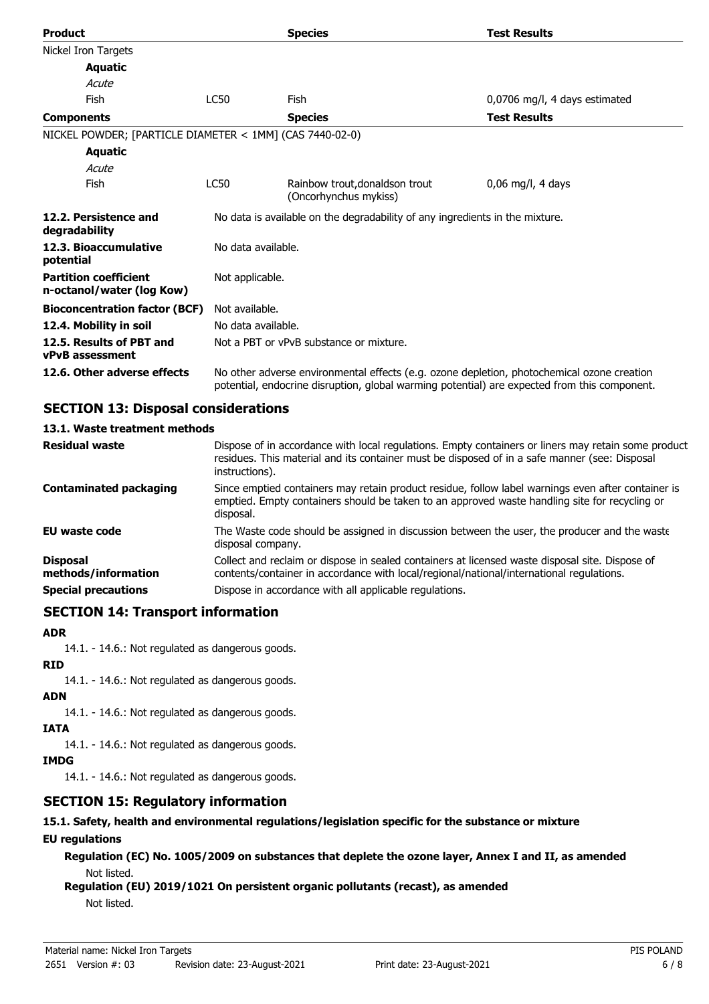| <b>Product</b>                                            |                                                                              | <b>Species</b>                                                                                                                                                                             | <b>Test Results</b>           |
|-----------------------------------------------------------|------------------------------------------------------------------------------|--------------------------------------------------------------------------------------------------------------------------------------------------------------------------------------------|-------------------------------|
| Nickel Iron Targets                                       |                                                                              |                                                                                                                                                                                            |                               |
| <b>Aquatic</b>                                            |                                                                              |                                                                                                                                                                                            |                               |
| Acute                                                     |                                                                              |                                                                                                                                                                                            |                               |
| Fish                                                      | LC50                                                                         | Fish                                                                                                                                                                                       | 0,0706 mg/l, 4 days estimated |
| <b>Components</b>                                         |                                                                              | <b>Species</b>                                                                                                                                                                             | <b>Test Results</b>           |
| NICKEL POWDER; [PARTICLE DIAMETER < 1MM] (CAS 7440-02-0)  |                                                                              |                                                                                                                                                                                            |                               |
| <b>Aquatic</b>                                            |                                                                              |                                                                                                                                                                                            |                               |
| Acute                                                     |                                                                              |                                                                                                                                                                                            |                               |
| Fish                                                      | <b>LC50</b>                                                                  | Rainbow trout, donaldson trout<br>(Oncorhynchus mykiss)                                                                                                                                    | $0.06$ mg/l, 4 days           |
| 12.2. Persistence and<br>degradability                    | No data is available on the degradability of any ingredients in the mixture. |                                                                                                                                                                                            |                               |
| 12.3. Bioaccumulative<br>potential                        | No data available.                                                           |                                                                                                                                                                                            |                               |
| <b>Partition coefficient</b><br>n-octanol/water (log Kow) | Not applicable.                                                              |                                                                                                                                                                                            |                               |
| <b>Bioconcentration factor (BCF)</b>                      | Not available.                                                               |                                                                                                                                                                                            |                               |
| 12.4. Mobility in soil                                    | No data available.                                                           |                                                                                                                                                                                            |                               |
| 12.5. Results of PBT and<br><b>vPvB</b> assessment        |                                                                              | Not a PBT or vPvB substance or mixture.                                                                                                                                                    |                               |
| 12.6. Other adverse effects                               |                                                                              | No other adverse environmental effects (e.g. ozone depletion, photochemical ozone creation<br>potential, endocrine disruption, global warming potential) are expected from this component. |                               |

## **SECTION 13: Disposal considerations**

#### **13.1. Waste treatment methods**

| <b>Residual waste</b>                  | Dispose of in accordance with local regulations. Empty containers or liners may retain some product<br>residues. This material and its container must be disposed of in a safe manner (see: Disposal<br>instructions). |
|----------------------------------------|------------------------------------------------------------------------------------------------------------------------------------------------------------------------------------------------------------------------|
| <b>Contaminated packaging</b>          | Since emptied containers may retain product residue, follow label warnings even after container is<br>emptied. Empty containers should be taken to an approved waste handling site for recycling or<br>disposal.       |
| EU waste code                          | The Waste code should be assigned in discussion between the user, the producer and the waste<br>disposal company.                                                                                                      |
| <b>Disposal</b><br>methods/information | Collect and reclaim or dispose in sealed containers at licensed waste disposal site. Dispose of<br>contents/container in accordance with local/regional/national/international regulations.                            |
| <b>Special precautions</b>             | Dispose in accordance with all applicable regulations.                                                                                                                                                                 |

## **SECTION 14: Transport information**

#### **ADR**

14.1. - 14.6.: Not regulated as dangerous goods.

# **RID**

14.1. - 14.6.: Not regulated as dangerous goods.

## **ADN**

14.1. - 14.6.: Not regulated as dangerous goods.

## **IATA**

14.1. - 14.6.: Not regulated as dangerous goods.

## **IMDG**

14.1. - 14.6.: Not regulated as dangerous goods.

# **SECTION 15: Regulatory information**

# **15.1. Safety, health and environmental regulations/legislation specific for the substance or mixture**

## **EU regulations**

**Regulation (EC) No. 1005/2009 on substances that deplete the ozone layer, Annex I and II, as amended** Not listed.

**Regulation (EU) 2019/1021 On persistent organic pollutants (recast), as amended**

Not listed.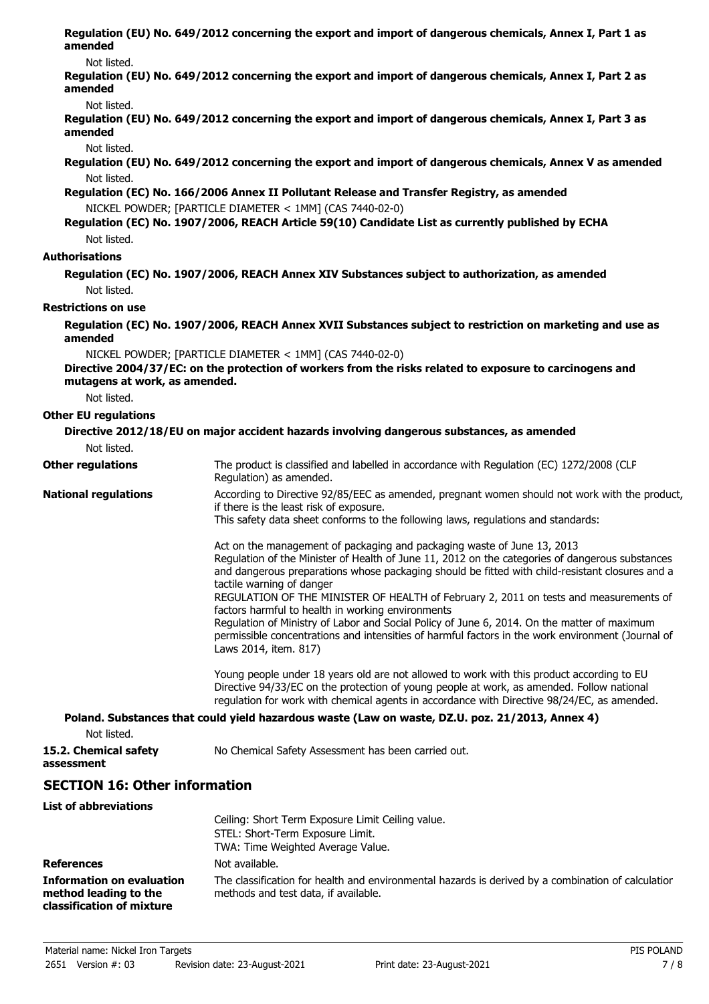**Regulation (EU) No. 649/2012 concerning the export and import of dangerous chemicals, Annex I, Part 1 as amended**

#### Not listed.

**Regulation (EU) No. 649/2012 concerning the export and import of dangerous chemicals, Annex I, Part 2 as amended**

Not listed.

**Regulation (EU) No. 649/2012 concerning the export and import of dangerous chemicals, Annex I, Part 3 as amended**

Not listed.

**Regulation (EU) No. 649/2012 concerning the export and import of dangerous chemicals, Annex V as amended** Not listed.

**Regulation (EC) No. 166/2006 Annex II Pollutant Release and Transfer Registry, as amended** NICKEL POWDER; [PARTICLE DIAMETER < 1MM] (CAS 7440-02-0)

#### **Regulation (EC) No. 1907/2006, REACH Article 59(10) Candidate List as currently published by ECHA** Not listed.

#### **Authorisations**

**Regulation (EC) No. 1907/2006, REACH Annex XIV Substances subject to authorization, as amended** Not listed.

#### **Restrictions on use**

**Regulation (EC) No. 1907/2006, REACH Annex XVII Substances subject to restriction on marketing and use as amended**

NICKEL POWDER; [PARTICLE DIAMETER < 1MM] (CAS 7440-02-0)

**Directive 2004/37/EC: on the protection of workers from the risks related to exposure to carcinogens and mutagens at work, as amended.**

Not listed.

#### **Other EU regulations**

| Not listed.                 | Directive 2012/18/EU on major accident hazards involving dangerous substances, as amended                                                                                                                                                                                                                                                                                                                                                                                                                                                                                                                                                                                             |
|-----------------------------|---------------------------------------------------------------------------------------------------------------------------------------------------------------------------------------------------------------------------------------------------------------------------------------------------------------------------------------------------------------------------------------------------------------------------------------------------------------------------------------------------------------------------------------------------------------------------------------------------------------------------------------------------------------------------------------|
| <b>Other regulations</b>    | The product is classified and labelled in accordance with Regulation (EC) 1272/2008 (CLP<br>Regulation) as amended.                                                                                                                                                                                                                                                                                                                                                                                                                                                                                                                                                                   |
| <b>National regulations</b> | According to Directive 92/85/EEC as amended, pregnant women should not work with the product,<br>if there is the least risk of exposure.<br>This safety data sheet conforms to the following laws, regulations and standards:                                                                                                                                                                                                                                                                                                                                                                                                                                                         |
|                             | Act on the management of packaging and packaging waste of June 13, 2013<br>Regulation of the Minister of Health of June 11, 2012 on the categories of dangerous substances<br>and dangerous preparations whose packaging should be fitted with child-resistant closures and a<br>tactile warning of danger<br>REGULATION OF THE MINISTER OF HEALTH of February 2, 2011 on tests and measurements of<br>factors harmful to health in working environments<br>Regulation of Ministry of Labor and Social Policy of June 6, 2014. On the matter of maximum<br>permissible concentrations and intensities of harmful factors in the work environment (Journal of<br>Laws 2014, item. 817) |
|                             | Young people under 18 years old are not allowed to work with this product according to EU<br>Directive 94/33/EC on the protection of young people at work, as amended. Follow national<br>regulation for work with chemical agents in accordance with Directive 98/24/EC, as amended.<br>$\mathbf{r}$ . The contract of the contract of the contract of the contract of the contract of the contract of the contract of the contract of the contract of the contract of the contract of the contract of the contract of th                                                                                                                                                            |

**Poland. Substances that could yield hazardous waste (Law on waste, DZ.U. poz. 21/2013, Annex 4)**

Not listed.

**assessment**

**15.2. Chemical safety** No Chemical Safety Assessment has been carried out.

# **SECTION 16: Other information**

| <b>List of abbreviations</b>                                                           |                                                                                                                                            |
|----------------------------------------------------------------------------------------|--------------------------------------------------------------------------------------------------------------------------------------------|
|                                                                                        | Ceiling: Short Term Exposure Limit Ceiling value.                                                                                          |
|                                                                                        | STEL: Short-Term Exposure Limit.                                                                                                           |
|                                                                                        | TWA: Time Weighted Average Value.                                                                                                          |
| <b>References</b>                                                                      | Not available.                                                                                                                             |
| <b>Information on evaluation</b><br>method leading to the<br>classification of mixture | The classification for health and environmental hazards is derived by a combination of calculatior<br>methods and test data, if available. |